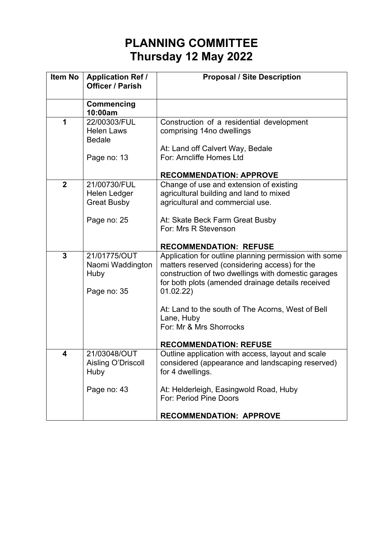## **PLANNING COMMITTEE Thursday 12 May 2022**

| Item No      | <b>Application Ref /</b><br><b>Officer / Parish</b>     | <b>Proposal / Site Description</b>                                                                                                                                                                                              |
|--------------|---------------------------------------------------------|---------------------------------------------------------------------------------------------------------------------------------------------------------------------------------------------------------------------------------|
|              |                                                         |                                                                                                                                                                                                                                 |
|              | <b>Commencing</b><br>10:00am                            |                                                                                                                                                                                                                                 |
| 1            | 22/00303/FUL<br><b>Helen Laws</b><br><b>Bedale</b>      | Construction of a residential development<br>comprising 14no dwellings                                                                                                                                                          |
|              | Page no: 13                                             | At: Land off Calvert Way, Bedale<br>For: Arncliffe Homes Ltd                                                                                                                                                                    |
|              |                                                         | <b>RECOMMENDATION: APPROVE</b>                                                                                                                                                                                                  |
| $\mathbf{2}$ | 21/00730/FUL<br>Helen Ledger<br><b>Great Busby</b>      | Change of use and extension of existing<br>agricultural building and land to mixed<br>agricultural and commercial use.                                                                                                          |
|              | Page no: 25                                             | At: Skate Beck Farm Great Busby<br>For: Mrs R Stevenson                                                                                                                                                                         |
|              |                                                         | <b>RECOMMENDATION: REFUSE</b>                                                                                                                                                                                                   |
| 3            | 21/01775/OUT<br>Naomi Waddington<br>Huby<br>Page no: 35 | Application for outline planning permission with some<br>matters reserved (considering access) for the<br>construction of two dwellings with domestic garages<br>for both plots (amended drainage details received<br>01.02.22) |
|              |                                                         | At: Land to the south of The Acorns, West of Bell<br>Lane, Huby<br>For: Mr & Mrs Shorrocks                                                                                                                                      |
|              |                                                         | <b>RECOMMENDATION: REFUSE</b>                                                                                                                                                                                                   |
| 4            | 21/03048/OUT<br>Aisling O'Driscoll<br>Huby              | Outline application with access, layout and scale<br>considered (appearance and landscaping reserved)<br>for 4 dwellings.                                                                                                       |
|              | Page no: 43                                             | At: Helderleigh, Easingwold Road, Huby<br>For: Period Pine Doors                                                                                                                                                                |
|              |                                                         | <b>RECOMMENDATION: APPROVE</b>                                                                                                                                                                                                  |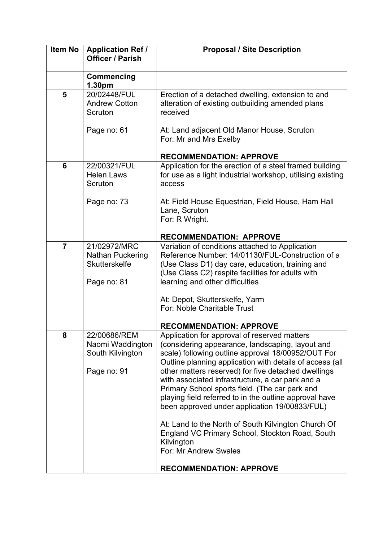| <b>Item No</b> | <b>Application Ref /</b><br><b>Officer / Parish</b>                 | <b>Proposal / Site Description</b>                                                                                                                                                                                                                                                                                                                                                                                                                                                         |
|----------------|---------------------------------------------------------------------|--------------------------------------------------------------------------------------------------------------------------------------------------------------------------------------------------------------------------------------------------------------------------------------------------------------------------------------------------------------------------------------------------------------------------------------------------------------------------------------------|
|                | Commencing<br>1.30pm                                                |                                                                                                                                                                                                                                                                                                                                                                                                                                                                                            |
| 5              | 20/02448/FUL<br><b>Andrew Cotton</b><br>Scruton<br>Page no: 61      | Erection of a detached dwelling, extension to and<br>alteration of existing outbuilding amended plans<br>received<br>At: Land adjacent Old Manor House, Scruton<br>For: Mr and Mrs Exelby                                                                                                                                                                                                                                                                                                  |
|                |                                                                     | <b>RECOMMENDATION: APPROVE</b>                                                                                                                                                                                                                                                                                                                                                                                                                                                             |
| 6              | 22/00321/FUL<br><b>Helen Laws</b><br>Scruton                        | Application for the erection of a steel framed building<br>for use as a light industrial workshop, utilising existing<br>access                                                                                                                                                                                                                                                                                                                                                            |
|                | Page no: 73                                                         | At: Field House Equestrian, Field House, Ham Hall<br>Lane, Scruton<br>For: R Wright.                                                                                                                                                                                                                                                                                                                                                                                                       |
| $\overline{7}$ | 21/02972/MRC                                                        | <b>RECOMMENDATION: APPROVE</b><br>Variation of conditions attached to Application                                                                                                                                                                                                                                                                                                                                                                                                          |
|                | Nathan Puckering<br><b>Skutterskelfe</b><br>Page no: 81             | Reference Number: 14/01130/FUL-Construction of a<br>(Use Class D1) day care, education, training and<br>(Use Class C2) respite facilities for adults with<br>learning and other difficulties                                                                                                                                                                                                                                                                                               |
|                |                                                                     | At: Depot, Skutterskelfe, Yarm<br>For: Noble Charitable Trust                                                                                                                                                                                                                                                                                                                                                                                                                              |
|                |                                                                     | <b>RECOMMENDATION: APPROVE</b>                                                                                                                                                                                                                                                                                                                                                                                                                                                             |
| 8              | 22/00686/REM<br>Naomi Waddington<br>South Kilvington<br>Page no: 91 | Application for approval of reserved matters<br>(considering appearance, landscaping, layout and<br>scale) following outline approval 18/00952/OUT For<br>Outline planning application with details of access (all<br>other matters reserved) for five detached dwellings<br>with associated infrastructure, a car park and a<br>Primary School sports field. (The car park and<br>playing field referred to in the outline approval have<br>been approved under application 19/00833/FUL) |
|                |                                                                     | At: Land to the North of South Kilvington Church Of<br>England VC Primary School, Stockton Road, South<br>Kilvington<br>For: Mr Andrew Swales<br><b>RECOMMENDATION: APPROVE</b>                                                                                                                                                                                                                                                                                                            |